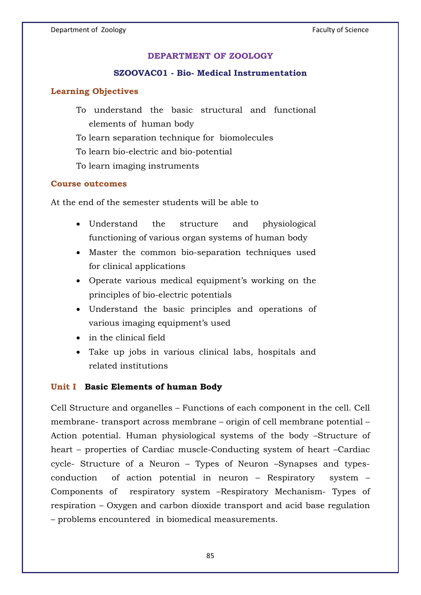## **DEPARTMENT OF ZOOLOGY**

## **SZOOVAC01 - Bio- Medical Instrumentation**

## **Learning Objectives**

- To understand the basic structural and functional elements of human body
- To learn separation technique for biomolecules
- To learn bio-electric and bio-potential
- To learn imaging instruments

### **Course outcomes**

At the end of the semester students will be able to

- Understand the structure and physiological functioning of various organ systems of human body
- Master the common bio-separation techniques used for clinical applications
- Operate various medical equipment's working on the principles of bio-electric potentials
- Understand the basic principles and operations of various imaging equipment's used
- in the clinical field
- Take up jobs in various clinical labs, hospitals and related institutions

## **Unit I Basic Elements of human Body**

Cell Structure and organelles – Functions of each component in the cell. Cell membrane- transport across membrane – origin of cell membrane potential – Action potential. Human physiological systems of the body –Structure of heart – properties of Cardiac muscle-Conducting system of heart –Cardiac cycle- Structure of a Neuron – Types of Neuron –Synapses and typesconduction of action potential in neuron – Respiratory system – Components of respiratory system –Respiratory Mechanism- Types of respiration – Oxygen and carbon dioxide transport and acid base regulation – problems encountered in biomedical measurements.